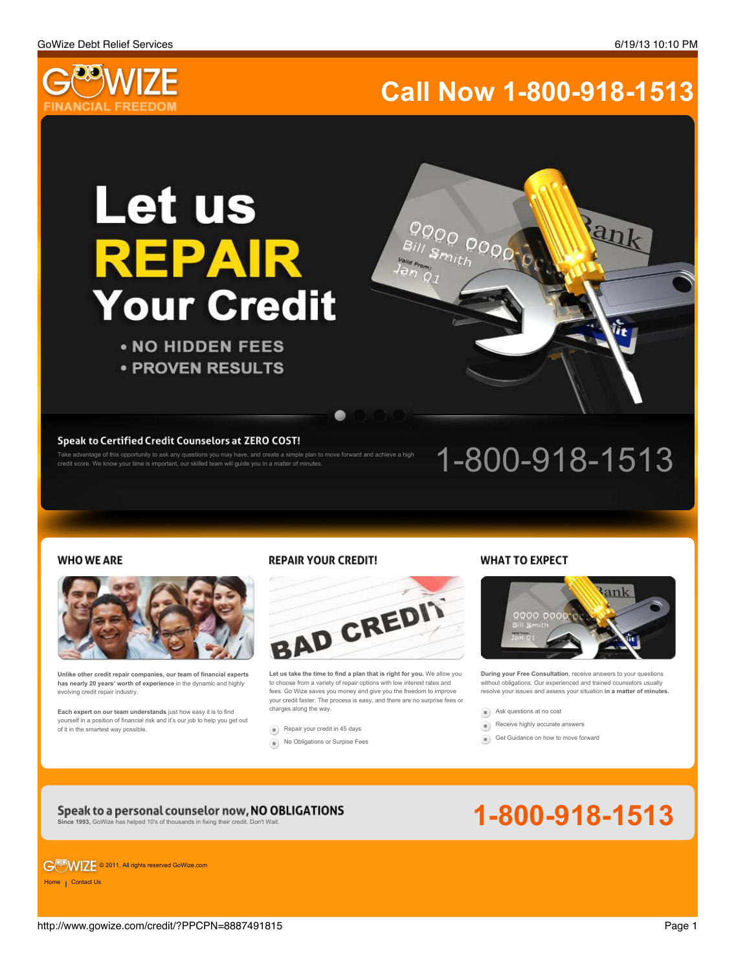Rank



# **Call Now 1-800-918-1513**

0000 0000

 $B_{ii/}$   $S_{m_1}$ 

# **Let us** REPAIR **Your Credit**

• NO HIDDEN FEES **• PROVEN RESULTS** 

Take advantage of this opportunity to ask any questions you may have, and create a simple plan to move forward and achieve a high

Speak to Certified Credit Counselors at ZERO COST!<br>Take advantage of this opportunity to ask any questions you may have, and create a simple plan to move forward and achieve a high<br>credit score. We know your time is import

### **WHO WE ARE**



**REPAIR YOUR CREDIT!** 



**Unlike other credit repair companies, our team of financial experts has nearly 20 years' worth of experience** in the dynamic and highly evolving credit repair industry.

**Each expert on our team understands** just how easy it is to find yourself in a position of financial risk and it's our job to help you get out of it in the smartest way possible.

[Repair your credit in 45 days](http://www.gowize.com/credit/?PPCPN=8887491815#)

[No Obligations or Surpise Fees](http://www.gowize.com/credit/?PPCPN=8887491815#)

[Receive highly accurate answers](http://www.gowize.com/credit/?PPCPN=8887491815#)  $\begin{pmatrix} 1 \\ 1 \end{pmatrix}$ 

[Ask questions at no cost](http://www.gowize.com/credit/?PPCPN=8887491815#)

[Get Guidance on how to move forward](http://www.gowize.com/credit/?PPCPN=8887491815#)  $\left( n\right)$ 

**Let us take the time to find a plan that is right for you.** We allow you to choose from a variety of repair options with low interest rates and fees. Go Wize saves you money and give you the freedom to improve your credit faster. The process is easy, and there are no surprise fees or charges along the way.

## **WHAT TO EXPECT**



**During your Free Consultation**, receive answers to your questions without obligations. Our experienced and trained counselors usually resolve your issues and assess your situation **in a matter of minutes.**



G<sup>OS</sup>WIZE © 2011, All rights reserved GoWize.com

[Home](http://www.gowize.com/) | [Contact Us](http://www.gowize.com/contact/)

http://www.gowize.com/credit/?PPCPN=8887491815 Page 1